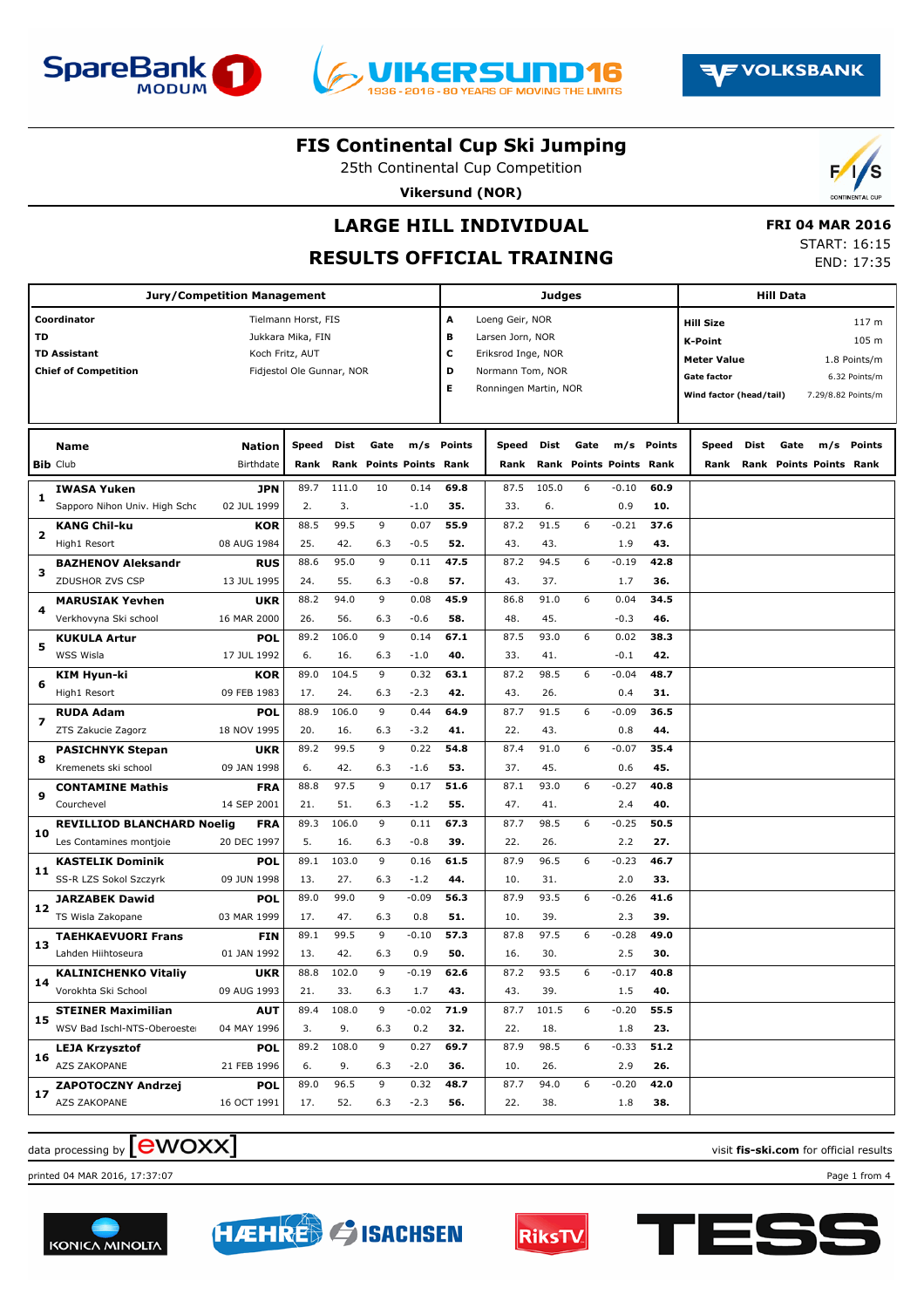





25th Continental Cup Competition

**Vikersund (NOR)**



 **FRI 04 MAR 2016** START: 16:15 END: 17:35

# **LARGE HILL INDIVIDUAL**

### **RESULTS OFFICIAL TRAINING**

|                         |                                                                            | <b>Jury/Competition Management</b> |                                                                       |                       |                                 |                        |                       |                                                                                                        | <b>Judges</b>       |        |                                  |                     |                                                                                                           |      | <b>Hill Data</b> |                                |                                                 |
|-------------------------|----------------------------------------------------------------------------|------------------------------------|-----------------------------------------------------------------------|-----------------------|---------------------------------|------------------------|-----------------------|--------------------------------------------------------------------------------------------------------|---------------------|--------|----------------------------------|---------------------|-----------------------------------------------------------------------------------------------------------|------|------------------|--------------------------------|-------------------------------------------------|
| TD                      | Coordinator<br><b>TD Assistant</b><br><b>Chief of Competition</b>          | Koch Fritz, AUT                    | Tielmann Horst, FIS<br>Jukkara Mika, FIN<br>Fidjestol Ole Gunnar, NOR |                       |                                 |                        | A<br>в<br>c<br>D<br>Е | Loeng Geir, NOR<br>Larsen Jorn, NOR<br>Eriksrod Inge, NOR<br>Normann Tom, NOR<br>Ronningen Martin, NOR |                     |        |                                  |                     | <b>Hill Size</b><br><b>K-Point</b><br><b>Meter Value</b><br><b>Gate factor</b><br>Wind factor (head/tail) |      |                  | 7.29/8.82 Points/m             | 117 m<br>105 m<br>1.8 Points/m<br>6.32 Points/m |
|                         | <b>Name</b><br><b>Bib Club</b>                                             | <b>Nation</b><br>Birthdate         | Speed<br>Rank                                                         | Dist                  | Gate<br>Rank Points Points Rank | m/s                    | <b>Points</b>         | Speed<br>Rank                                                                                          | Dist<br>Rank        | Gate   | m/s<br><b>Points Points Rank</b> | Points              | Speed<br>Rank                                                                                             | Dist | Gate             | m/s<br>Rank Points Points Rank | Points                                          |
| 1                       | <b>IWASA Yuken</b><br>Sapporo Nihon Univ. High Schc                        | <b>JPN</b><br>02 JUL 1999          | 89.7<br>2.                                                            | 111.0<br>3.           | 10                              | 0.14<br>$-1.0$         | 69.8<br>35.           | 87.5<br>33.                                                                                            | 105.0<br>6.         | 6      | $-0.10$<br>0.9                   | 60.9<br>10.         |                                                                                                           |      |                  |                                |                                                 |
| $\overline{\mathbf{2}}$ | <b>KANG Chil-ku</b><br>High1 Resort                                        | <b>KOR</b><br>08 AUG 1984          | 88.5<br>25.                                                           | 99.5<br>42.           | 9<br>6.3                        | 0.07<br>$-0.5$         | 55.9<br>52.           | 87.2<br>43.                                                                                            | 91.5<br>43.         | 6      | $-0.21$<br>1.9                   | 37.6<br>43.         |                                                                                                           |      |                  |                                |                                                 |
| з                       | <b>BAZHENOV Aleksandr</b><br>ZDUSHOR ZVS CSP                               | <b>RUS</b><br>13 JUL 1995          | 88.6<br>24.                                                           | 95.0<br>55.           | 9<br>6.3                        | 0.11<br>$-0.8$         | 47.5<br>57.           | 87.2<br>43.                                                                                            | 94.5<br>37.         | 6      | $-0.19$<br>1.7                   | 42.8<br>36.         |                                                                                                           |      |                  |                                |                                                 |
| 4                       | <b>MARUSIAK Yevhen</b><br>Verkhovyna Ski school                            | <b>UKR</b><br>16 MAR 2000          | 88.2<br>26.                                                           | 94.0<br>56.           | 9<br>6.3                        | 0.08<br>$-0.6$         | 45.9<br>58.           | 86.8<br>48.                                                                                            | 91.0<br>45.         | 6      | 0.04<br>$-0.3$                   | 34.5<br>46.         |                                                                                                           |      |                  |                                |                                                 |
| 5                       | <b>KUKULA Artur</b><br>WSS Wisla                                           | POL<br>17 JUL 1992                 | 89.2<br>6.                                                            | 106.0<br>16.          | 9<br>6.3                        | 0.14<br>$-1.0$         | 67.1<br>40.           | 87.5<br>33.                                                                                            | 93.0<br>41.         | 6      | 0.02<br>$-0.1$                   | 38.3<br>42.         |                                                                                                           |      |                  |                                |                                                 |
| 6                       | KIM Hyun-ki<br>High1 Resort                                                | <b>KOR</b><br>09 FEB 1983          | 89.0<br>17.                                                           | 104.5<br>24.          | 9<br>6.3                        | 0.32<br>$-2.3$         | 63.1<br>42.           | 87.2<br>43.                                                                                            | 98.5<br>26.         | 6      | $-0.04$<br>0.4                   | 48.7<br>31.         |                                                                                                           |      |                  |                                |                                                 |
| 7                       | <b>RUDA Adam</b><br>ZTS Zakucie Zagorz                                     | POL<br>18 NOV 1995                 | 88.9<br>20.                                                           | 106.0<br>16.          | 9<br>6.3                        | 0.44<br>$-3.2$         | 64.9<br>41.           | 87.7<br>22.                                                                                            | 91.5<br>43.         | 6      | $-0.09$<br>0.8                   | 36.5<br>44.         |                                                                                                           |      |                  |                                |                                                 |
| 8                       | <b>PASICHNYK Stepan</b><br>Kremenets ski school                            | <b>UKR</b><br>09 JAN 1998          | 89.2<br>6.                                                            | 99.5<br>42.           | 9<br>6.3                        | 0.22<br>$-1.6$         | 54.8<br>53.           | 87.4<br>37.                                                                                            | 91.0<br>45.         | 6      | $-0.07$<br>0.6                   | 35.4<br>45.         |                                                                                                           |      |                  |                                |                                                 |
| 9                       | <b>CONTAMINE Mathis</b><br>Courchevel                                      | <b>FRA</b><br>14 SEP 2001          | 88.8<br>21.                                                           | 97.5<br>51.           | 9<br>6.3                        | 0.17<br>$-1.2$         | 51.6<br>55.           | 87.1<br>47.                                                                                            | 93.0<br>41.         | 6      | $-0.27$<br>2.4                   | 40.8<br>40.         |                                                                                                           |      |                  |                                |                                                 |
| 10                      | <b>REVILLIOD BLANCHARD Noelig</b><br>Les Contamines montjoie               | <b>FRA</b><br>20 DEC 1997          | 89.3<br>5.<br>89.1                                                    | 106.0<br>16.<br>103.0 | 9<br>6.3<br>9                   | 0.11<br>$-0.8$<br>0.16 | 67.3<br>39.<br>61.5   | 87.7<br>22.<br>87.9                                                                                    | 98.5<br>26.<br>96.5 | 6<br>6 | $-0.25$<br>2.2<br>$-0.23$        | 50.5<br>27.<br>46.7 |                                                                                                           |      |                  |                                |                                                 |
| 11                      | <b>KASTELIK Dominik</b><br>SS-R LZS Sokol Szczyrk<br><b>JARZABEK Dawid</b> | POL<br>09 JUN 1998<br>POL          | 13.<br>89.0                                                           | 27.<br>99.0           | 6.3<br>9                        | $-1.2$<br>$-0.09$      | 44.<br>56.3           | 10.<br>87.9                                                                                            | 31.<br>93.5         | 6      | 2.0<br>$-0.26$                   | 33.<br>41.6         |                                                                                                           |      |                  |                                |                                                 |
| 12                      | TS Wisla Zakopane<br><b>TAEHKAEVUORI Frans</b>                             | 03 MAR 1999<br><b>FIN</b>          | 17.<br>89.1                                                           | 47.<br>99.5           | 6.3<br>9                        | 0.8<br>$-0.10$         | 51.<br>57.3           | 10.<br>87.8                                                                                            | 39.<br>97.5         | 6      | 2.3<br>$-0.28$                   | 39.<br>49.0         |                                                                                                           |      |                  |                                |                                                 |
| 13                      | Lahden Hiihtoseura<br><b>KALINICHENKO Vitaliy</b>                          | 01 JAN 1992<br><b>UKR</b>          | 13.<br>88.8                                                           | 42.<br>102.0          | 6.3<br>9                        | 0.9<br>$-0.19$         | 50.<br>62.6           | 16.<br>87.2                                                                                            | 30.<br>93.5         | 6      | 2.5<br>$-0.17$                   | 30.<br>40.8         |                                                                                                           |      |                  |                                |                                                 |
| 14                      | Vorokhta Ski School<br><b>STEINER Maximilian</b>                           | 09 AUG 1993<br><b>AUT</b>          | 21.<br>89.4                                                           | 33.<br>108.0          | 6.3<br>9                        | 1.7<br>$-0.02$         | 43.<br>71.9           | 43.<br>87.7                                                                                            | 39.<br>101.5        | 6      | 1.5<br>$-0.20$                   | 40.<br>55.5         |                                                                                                           |      |                  |                                |                                                 |
| 15                      | WSV Bad Ischl-NTS-Oberoester<br><b>LEJA Krzysztof</b>                      | 04 MAY 1996<br><b>POL</b>          | 3.<br>89.2                                                            | 9.<br>108.0           | 6.3<br>9                        | 0.2<br>0.27            | 32.<br>69.7           | 22.<br>87.9                                                                                            | 18.<br>98.5         | 6      | 1.8<br>$-0.33$                   | 23.<br>51.2         |                                                                                                           |      |                  |                                |                                                 |
| 16                      | AZS ZAKOPANE<br>ZAPOTOCZNY Andrzej                                         | 21 FEB 1996<br><b>POL</b>          | 6.<br>89.0                                                            | 9.<br>96.5            | 6.3<br>9                        | $-2.0$<br>0.32         | 36.<br>48.7           | 10.<br>87.7                                                                                            | 26.<br>94.0         | 6      | 2.9<br>$-0.20$                   | 26.<br>42.0         |                                                                                                           |      |                  |                                |                                                 |
| 17                      | AZS ZAKOPANE                                                               | 16 OCT 1991                        | 17.                                                                   | 52.                   | 6.3                             | $-2.3$                 | 56.                   | 22.                                                                                                    | 38.                 |        | 1.8                              | 38.                 |                                                                                                           |      |                  |                                |                                                 |

# $\alpha$  data processing by  $\boxed{\text{ewOX}}$

printed 04 MAR 2016, 17:37:07 Page 1 from 4







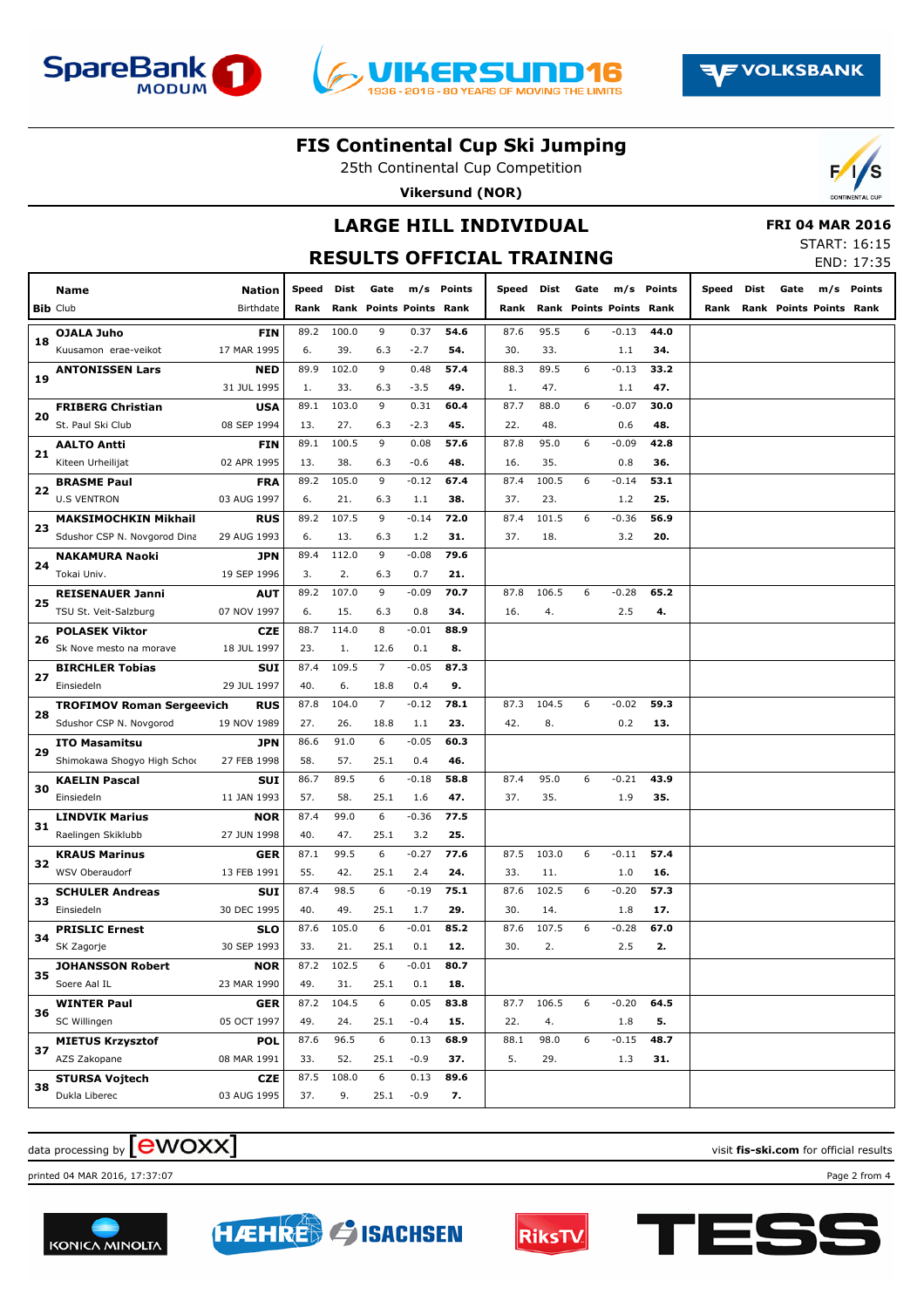





25th Continental Cup Competition

**Vikersund (NOR)**



**RESULTS OFFICIAL TRAINING**



#### **FRI 04 MAR 2016**

START: 16:15 END: 17:35

|    | Name                             | <b>Nation</b> | Speed | Dist  | Gate                    |         | m/s Points | Speed | Dist  | Gate | m/s                       | Points | Speed | Dist | Gate                    | m/s | <b>Points</b> |
|----|----------------------------------|---------------|-------|-------|-------------------------|---------|------------|-------|-------|------|---------------------------|--------|-------|------|-------------------------|-----|---------------|
|    | <b>Bib Club</b>                  | Birthdate     | Rank  |       | Rank Points Points Rank |         |            | Rank  | Rank  |      | <b>Points Points Rank</b> |        | Rank  |      | Rank Points Points Rank |     |               |
|    | <b>OJALA Juho</b>                | <b>FIN</b>    | 89.2  | 100.0 | 9                       | 0.37    | 54.6       | 87.6  | 95.5  | 6    | $-0.13$                   | 44.0   |       |      |                         |     |               |
| 18 | Kuusamon erae-veikot             | 17 MAR 1995   | 6.    | 39.   | 6.3                     | $-2.7$  | 54.        | 30.   | 33.   |      | 1.1                       | 34.    |       |      |                         |     |               |
|    | <b>ANTONISSEN Lars</b>           | <b>NED</b>    | 89.9  | 102.0 | 9                       | 0.48    | 57.4       | 88.3  | 89.5  | 6    | $-0.13$                   | 33.2   |       |      |                         |     |               |
| 19 |                                  | 31 JUL 1995   | 1.    | 33.   | 6.3                     | $-3.5$  | 49.        | 1.    | 47.   |      | 1.1                       | 47.    |       |      |                         |     |               |
|    | <b>FRIBERG Christian</b>         | <b>USA</b>    | 89.1  | 103.0 | 9                       | 0.31    | 60.4       | 87.7  | 88.0  | 6    | $-0.07$                   | 30.0   |       |      |                         |     |               |
| 20 | St. Paul Ski Club                | 08 SEP 1994   | 13.   | 27.   | 6.3                     | $-2.3$  | 45.        | 22.   | 48.   |      | 0.6                       | 48.    |       |      |                         |     |               |
|    | <b>AALTO Antti</b>               | <b>FIN</b>    | 89.1  | 100.5 | 9                       | 0.08    | 57.6       | 87.8  | 95.0  | 6    | $-0.09$                   | 42.8   |       |      |                         |     |               |
| 21 | Kiteen Urheilijat                | 02 APR 1995   | 13.   | 38.   | 6.3                     | $-0.6$  | 48.        | 16.   | 35.   |      | 0.8                       | 36.    |       |      |                         |     |               |
|    | <b>BRASME Paul</b>               | <b>FRA</b>    | 89.2  | 105.0 | 9                       | $-0.12$ | 67.4       | 87.4  | 100.5 | 6    | $-0.14$                   | 53.1   |       |      |                         |     |               |
| 22 | <b>U.S VENTRON</b>               | 03 AUG 1997   | 6.    | 21.   | 6.3                     | 1.1     | 38.        | 37.   | 23.   |      | 1.2                       | 25.    |       |      |                         |     |               |
|    | <b>MAKSIMOCHKIN Mikhail</b>      | <b>RUS</b>    | 89.2  | 107.5 | 9                       | $-0.14$ | 72.0       | 87.4  | 101.5 | 6    | $-0.36$                   | 56.9   |       |      |                         |     |               |
| 23 | Sdushor CSP N. Novgorod Dina     | 29 AUG 1993   | 6.    | 13.   | 6.3                     | 1.2     | 31.        | 37.   | 18.   |      | 3.2                       | 20.    |       |      |                         |     |               |
|    | <b>NAKAMURA Naoki</b>            | <b>JPN</b>    | 89.4  | 112.0 | 9                       | $-0.08$ | 79.6       |       |       |      |                           |        |       |      |                         |     |               |
| 24 | Tokai Univ.                      | 19 SEP 1996   | 3.    | 2.    | 6.3                     | 0.7     | 21.        |       |       |      |                           |        |       |      |                         |     |               |
|    | <b>REISENAUER Janni</b>          | <b>AUT</b>    | 89.2  | 107.0 | 9                       | $-0.09$ | 70.7       | 87.8  | 106.5 | 6    | $-0.28$                   | 65.2   |       |      |                         |     |               |
| 25 | TSU St. Veit-Salzburg            | 07 NOV 1997   | 6.    | 15.   | 6.3                     | 0.8     | 34.        | 16.   | 4.    |      | 2.5                       | 4.     |       |      |                         |     |               |
|    | <b>POLASEK Viktor</b>            | <b>CZE</b>    | 88.7  | 114.0 | 8                       | $-0.01$ | 88.9       |       |       |      |                           |        |       |      |                         |     |               |
| 26 | Sk Nove mesto na morave          | 18 JUL 1997   | 23.   | 1.    | 12.6                    | 0.1     | 8.         |       |       |      |                           |        |       |      |                         |     |               |
| 27 | <b>BIRCHLER Tobias</b>           | <b>SUI</b>    | 87.4  | 109.5 | $\overline{7}$          | $-0.05$ | 87.3       |       |       |      |                           |        |       |      |                         |     |               |
|    | Einsiedeln                       | 29 JUL 1997   | 40.   | 6.    | 18.8                    | 0.4     | 9.         |       |       |      |                           |        |       |      |                         |     |               |
| 28 | <b>TROFIMOV Roman Sergeevich</b> | <b>RUS</b>    | 87.8  | 104.0 | $\overline{7}$          | $-0.12$ | 78.1       | 87.3  | 104.5 | 6    | $-0.02$                   | 59.3   |       |      |                         |     |               |
|    | Sdushor CSP N. Novgorod          | 19 NOV 1989   | 27.   | 26.   | 18.8                    | 1.1     | 23.        | 42.   | 8.    |      | 0.2                       | 13.    |       |      |                         |     |               |
| 29 | <b>ITO Masamitsu</b>             | <b>JPN</b>    | 86.6  | 91.0  | 6                       | $-0.05$ | 60.3       |       |       |      |                           |        |       |      |                         |     |               |
|    | Shimokawa Shogyo High Schoo      | 27 FEB 1998   | 58.   | 57.   | 25.1                    | 0.4     | 46.        |       |       |      |                           |        |       |      |                         |     |               |
| 30 | <b>KAELIN Pascal</b>             | <b>SUI</b>    | 86.7  | 89.5  | 6                       | $-0.18$ | 58.8       | 87.4  | 95.0  | 6    | $-0.21$                   | 43.9   |       |      |                         |     |               |
|    | Einsiedeln                       | 11 JAN 1993   | 57.   | 58.   | 25.1                    | 1.6     | 47.        | 37.   | 35.   |      | 1.9                       | 35.    |       |      |                         |     |               |
| 31 | <b>LINDVIK Marius</b>            | <b>NOR</b>    | 87.4  | 99.0  | 6                       | $-0.36$ | 77.5       |       |       |      |                           |        |       |      |                         |     |               |
|    | Raelingen Skiklubb               | 27 JUN 1998   | 40.   | 47.   | 25.1                    | 3.2     | 25.        |       |       |      |                           |        |       |      |                         |     |               |
| 32 | <b>KRAUS Marinus</b>             | GER           | 87.1  | 99.5  | 6                       | $-0.27$ | 77.6       | 87.5  | 103.0 | 6    | $-0.11$                   | 57.4   |       |      |                         |     |               |
|    | WSV Oberaudorf                   | 13 FEB 1991   | 55.   | 42.   | 25.1                    | 2.4     | 24.        | 33.   | 11.   |      | 1.0                       | 16.    |       |      |                         |     |               |
| 33 | <b>SCHULER Andreas</b>           | <b>SUI</b>    | 87.4  | 98.5  | 6                       | $-0.19$ | 75.1       | 87.6  | 102.5 | 6    | $-0.20$                   | 57.3   |       |      |                         |     |               |
|    | Einsiedeln                       | 30 DEC 1995   | 40.   | 49.   | 25.1                    | 1.7     | 29.        | 30.   | 14.   |      | 1.8                       | 17.    |       |      |                         |     |               |
| 34 | <b>PRISLIC Ernest</b>            | <b>SLO</b>    | 87.6  | 105.0 | 6                       | $-0.01$ | 85.2       | 87.6  | 107.5 | 6    | $-0.28$                   | 67.0   |       |      |                         |     |               |
|    | SK Zagorje                       | 30 SEP 1993   | 33.   | 21.   | 25.1                    | 0.1     | 12.        | 30.   | 2.    |      | 2.5                       | 2.     |       |      |                         |     |               |
| 35 | <b>JOHANSSON Robert</b>          | <b>NOR</b>    | 87.2  | 102.5 | 6                       | $-0.01$ | 80.7       |       |       |      |                           |        |       |      |                         |     |               |
|    | Soere Aal IL                     | 23 MAR 1990   | 49.   | 31.   | 25.1                    | 0.1     | 18.        |       |       |      |                           |        |       |      |                         |     |               |
| 36 | <b>WINTER Paul</b>               | <b>GER</b>    | 87.2  | 104.5 | 6                       | 0.05    | 83.8       | 87.7  | 106.5 | 6    | $-0.20$                   | 64.5   |       |      |                         |     |               |
|    | SC Willingen                     | 05 OCT 1997   | 49.   | 24.   | 25.1                    | $-0.4$  | 15.        | 22.   | 4.    |      | 1.8                       | 5.     |       |      |                         |     |               |
| 37 | <b>MIETUS Krzysztof</b>          | <b>POL</b>    | 87.6  | 96.5  | 6                       | 0.13    | 68.9       | 88.1  | 98.0  | 6    | $-0.15$                   | 48.7   |       |      |                         |     |               |
|    | AZS Zakopane                     | 08 MAR 1991   | 33.   | 52.   | 25.1                    | $-0.9$  | 37.        | 5.    | 29.   |      | 1.3                       | 31.    |       |      |                         |     |               |
| 38 | <b>STURSA Vojtech</b>            | <b>CZE</b>    | 87.5  | 108.0 | 6                       | 0.13    | 89.6       |       |       |      |                           |        |       |      |                         |     |               |
|    | Dukla Liberec                    | 03 AUG 1995   | 37.   | 9.    | 25.1                    | $-0.9$  | 7.         |       |       |      |                           |        |       |      |                         |     |               |

# $\alpha$  data processing by  $\boxed{\text{ewOX}}$

printed 04 MAR 2016, 17:37:07 Page 2 from 4





**HAEHRED & ISACHSEN** 



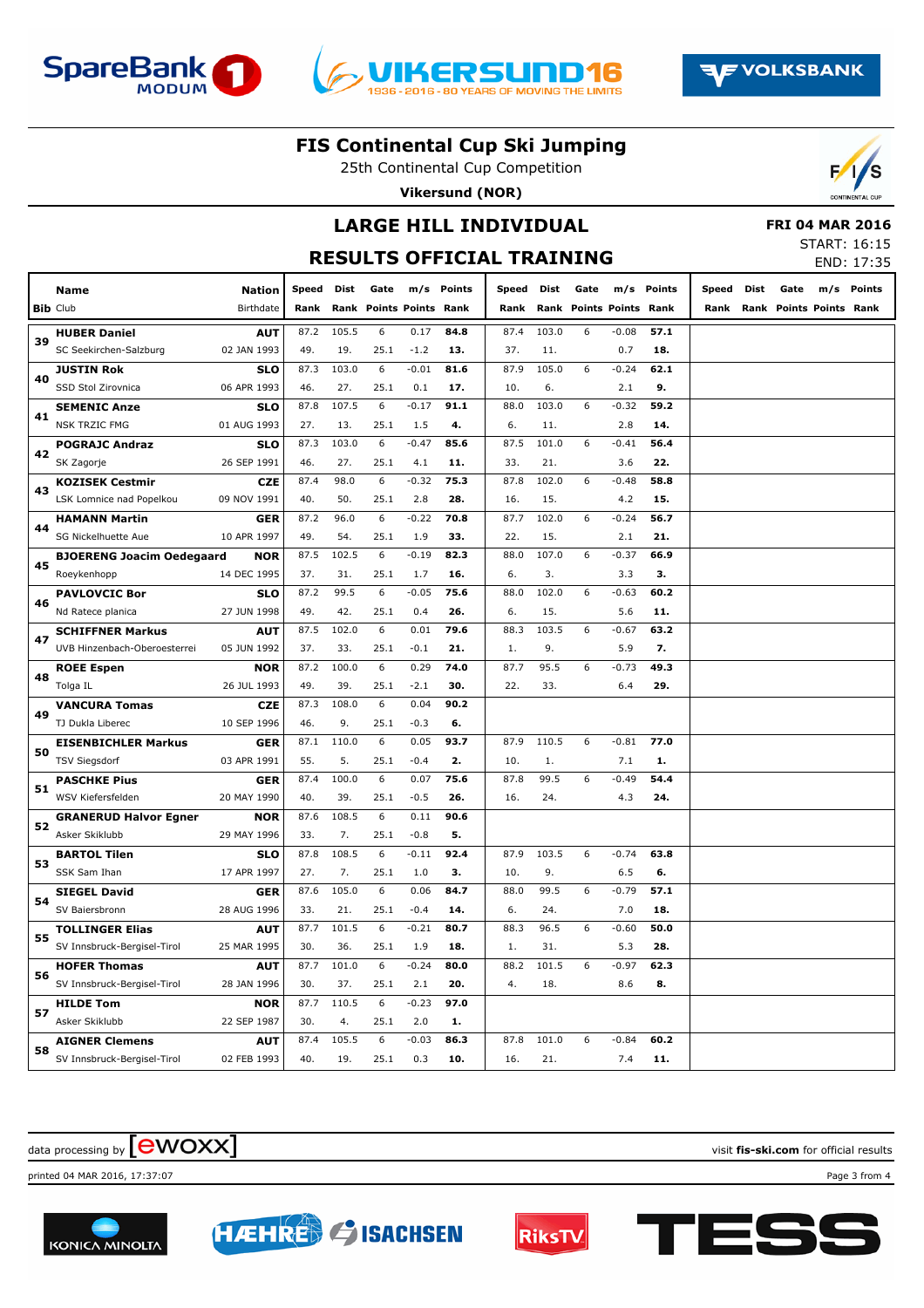





25th Continental Cup Competition

**Vikersund (NOR)**



# **LARGE HILL INDIVIDUAL**

|  | <b>FRI 04 MAR 2016</b> |  |
|--|------------------------|--|
|  | START: 16:15           |  |
|  | <b>FND. 17.2F</b>      |  |

|    |                                  |               |       |       |                         |         |            | <b>RESULTS OFFICIAL TRAINING</b> |       |      |                         |            |       |      |      |                         | END: 17:35 |
|----|----------------------------------|---------------|-------|-------|-------------------------|---------|------------|----------------------------------|-------|------|-------------------------|------------|-------|------|------|-------------------------|------------|
|    | Name                             | <b>Nation</b> | Speed | Dist  | Gate                    |         | m/s Points | Speed Dist                       |       | Gate |                         | m/s Points | Speed | Dist | Gate |                         | m/s Points |
|    | <b>Bib Club</b>                  | Birthdate     | Rank  |       | Rank Points Points Rank |         |            | Rank                             |       |      | Rank Points Points Rank |            | Rank  |      |      | Rank Points Points Rank |            |
|    | <b>HUBER Daniel</b>              | <b>AUT</b>    | 87.2  | 105.5 | 6                       | 0.17    | 84.8       | 87.4                             | 103.0 | 6    | $-0.08$                 | 57.1       |       |      |      |                         |            |
| 39 | SC Seekirchen-Salzburg           | 02 JAN 1993   | 49.   | 19.   | 25.1                    | $-1.2$  | 13.        | 37.                              | 11.   |      | 0.7                     | 18.        |       |      |      |                         |            |
|    | <b>JUSTIN Rok</b>                | <b>SLO</b>    | 87.3  | 103.0 | 6                       | $-0.01$ | 81.6       | 87.9                             | 105.0 | 6    | $-0.24$                 | 62.1       |       |      |      |                         |            |
| 40 | SSD Stol Zirovnica               | 06 APR 1993   | 46.   | 27.   | 25.1                    | 0.1     | 17.        | 10.                              | 6.    |      | 2.1                     | 9.         |       |      |      |                         |            |
|    | <b>SEMENIC Anze</b>              | <b>SLO</b>    | 87.8  | 107.5 | 6                       | $-0.17$ | 91.1       | 88.0                             | 103.0 | 6    | $-0.32$                 | 59.2       |       |      |      |                         |            |
| 41 | <b>NSK TRZIC FMG</b>             | 01 AUG 1993   | 27.   | 13.   | 25.1                    | 1.5     | 4.         | 6.                               | 11.   |      | 2.8                     | 14.        |       |      |      |                         |            |
|    | <b>POGRAJC Andraz</b>            | <b>SLO</b>    | 87.3  | 103.0 | 6                       | $-0.47$ | 85.6       | 87.5                             | 101.0 | 6    | $-0.41$                 | 56.4       |       |      |      |                         |            |
| 42 | SK Zagorje                       | 26 SEP 1991   | 46.   | 27.   | 25.1                    | 4.1     | 11.        | 33.                              | 21.   |      | 3.6                     | 22.        |       |      |      |                         |            |
| 43 | <b>KOZISEK Cestmir</b>           | <b>CZE</b>    | 87.4  | 98.0  | 6                       | $-0.32$ | 75.3       | 87.8                             | 102.0 | 6    | $-0.48$                 | 58.8       |       |      |      |                         |            |
|    | LSK Lomnice nad Popelkou         | 09 NOV 1991   | 40.   | 50.   | 25.1                    | 2.8     | 28.        | 16.                              | 15.   |      | 4.2                     | 15.        |       |      |      |                         |            |
| 44 | <b>HAMANN Martin</b>             | <b>GER</b>    | 87.2  | 96.0  | 6                       | $-0.22$ | 70.8       | 87.7                             | 102.0 | 6    | $-0.24$                 | 56.7       |       |      |      |                         |            |
|    | SG Nickelhuette Aue              | 10 APR 1997   | 49.   | 54.   | 25.1                    | 1.9     | 33.        | 22.                              | 15.   |      | 2.1                     | 21.        |       |      |      |                         |            |
| 45 | <b>BJOERENG Joacim Oedegaard</b> | <b>NOR</b>    | 87.5  | 102.5 | 6                       | $-0.19$ | 82.3       | 88.0                             | 107.0 | 6    | $-0.37$                 | 66.9       |       |      |      |                         |            |
|    | Roeykenhopp                      | 14 DEC 1995   | 37.   | 31.   | 25.1                    | 1.7     | 16.        | 6.                               | 3.    |      | 3.3                     | з.         |       |      |      |                         |            |
| 46 | <b>PAVLOVCIC Bor</b>             | <b>SLO</b>    | 87.2  | 99.5  | 6                       | $-0.05$ | 75.6       | 88.0                             | 102.0 | 6    | $-0.63$                 | 60.2       |       |      |      |                         |            |
|    | Nd Ratece planica                | 27 JUN 1998   | 49.   | 42.   | 25.1                    | 0.4     | 26.        | 6.                               | 15.   |      | 5.6                     | 11.        |       |      |      |                         |            |
| 47 | <b>SCHIFFNER Markus</b>          | <b>AUT</b>    | 87.5  | 102.0 | 6                       | 0.01    | 79.6       | 88.3                             | 103.5 | 6    | $-0.67$                 | 63.2       |       |      |      |                         |            |
|    | UVB Hinzenbach-Oberoesterrei     | 05 JUN 1992   | 37.   | 33.   | 25.1                    | $-0.1$  | 21.        | 1.                               | 9.    |      | 5.9                     | 7.         |       |      |      |                         |            |
| 48 | <b>ROEE Espen</b>                | <b>NOR</b>    | 87.2  | 100.0 | 6                       | 0.29    | 74.0       | 87.7                             | 95.5  | 6    | $-0.73$                 | 49.3       |       |      |      |                         |            |
|    | Tolga IL                         | 26 JUL 1993   | 49.   | 39.   | 25.1                    | $-2.1$  | 30.        | 22.                              | 33.   |      | 6.4                     | 29.        |       |      |      |                         |            |
| 49 | <b>VANCURA Tomas</b>             | <b>CZE</b>    | 87.3  | 108.0 | 6                       | 0.04    | 90.2       |                                  |       |      |                         |            |       |      |      |                         |            |
|    | TJ Dukla Liberec                 | 10 SEP 1996   | 46.   | 9.    | 25.1                    | $-0.3$  | 6.         |                                  |       |      |                         |            |       |      |      |                         |            |
| 50 | <b>EISENBICHLER Markus</b>       | GER           | 87.1  | 110.0 | 6                       | 0.05    | 93.7       | 87.9                             | 110.5 | 6    | $-0.81$                 | 77.0       |       |      |      |                         |            |
|    | <b>TSV Siegsdorf</b>             | 03 APR 1991   | 55.   | 5.    | 25.1                    | $-0.4$  | 2.         | 10.                              | 1.    |      | 7.1                     | 1.         |       |      |      |                         |            |
| 51 | <b>PASCHKE Pius</b>              | GER           | 87.4  | 100.0 | 6                       | 0.07    | 75.6       | 87.8                             | 99.5  | 6    | -0.49                   | 54.4       |       |      |      |                         |            |
|    | WSV Kiefersfelden                | 20 MAY 1990   | 40.   | 39.   | 25.1                    | $-0.5$  | 26.        | 16.                              | 24.   |      | 4.3                     | 24.        |       |      |      |                         |            |
| 52 | <b>GRANERUD Halvor Egner</b>     | <b>NOR</b>    | 87.6  | 108.5 | 6                       | 0.11    | 90.6       |                                  |       |      |                         |            |       |      |      |                         |            |
|    | Asker Skiklubb                   | 29 MAY 1996   | 33.   | 7.    | 25.1                    | $-0.8$  | 5.         |                                  |       |      |                         |            |       |      |      |                         |            |
| 53 | <b>BARTOL Tilen</b>              | <b>SLO</b>    | 87.8  | 108.5 | 6                       | $-0.11$ | 92.4       | 87.9                             | 103.5 | 6    | $-0.74$                 | 63.8       |       |      |      |                         |            |
|    | SSK Sam Ihan                     | 17 APR 1997   | 27.   | 7.    | 25.1                    | 1.0     | з.         | 10.                              | 9.    |      | 6.5                     | 6.         |       |      |      |                         |            |
| 54 | <b>SIEGEL David</b>              | GER           | 87.6  | 105.0 | 6                       | 0.06    | 84.7       | 88.0                             | 99.5  | 6    | $-0.79$                 | 57.1       |       |      |      |                         |            |
|    | SV Baiersbronn                   | 28 AUG 1996   | 33.   | 21.   | 25.1                    | $-0.4$  | 14.        | 6.                               | 24.   |      | 7.0                     | 18.        |       |      |      |                         |            |
| 55 | <b>TOLLINGER Elias</b>           | <b>AUT</b>    | 87.7  | 101.5 | 6                       | $-0.21$ | 80.7       | 88.3                             | 96.5  | 6    | $-0.60$                 | 50.0       |       |      |      |                         |            |
|    | SV Innsbruck-Bergisel-Tirol      | 25 MAR 1995   | 30.   | 36.   | 25.1                    | 1.9     | 18.        | 1.                               | 31.   |      | 5.3                     | 28.        |       |      |      |                         |            |
| 56 | <b>HOFER Thomas</b>              | <b>AUT</b>    | 87.7  | 101.0 | 6                       | $-0.24$ | 80.0       | 88.2                             | 101.5 | 6    | $-0.97$                 | 62.3       |       |      |      |                         |            |
|    | SV Innsbruck-Bergisel-Tirol      | 28 JAN 1996   | 30.   | 37.   | 25.1                    | 2.1     | 20.        | 4.                               | 18.   |      | 8.6                     | 8.         |       |      |      |                         |            |
| 57 | <b>HILDE Tom</b>                 | <b>NOR</b>    | 87.7  | 110.5 | 6                       | $-0.23$ | 97.0       |                                  |       |      |                         |            |       |      |      |                         |            |
|    | Asker Skiklubb                   | 22 SEP 1987   | 30.   | 4.    | 25.1                    | 2.0     | 1.         |                                  |       |      |                         |            |       |      |      |                         |            |
| 58 | <b>AIGNER Clemens</b>            | <b>AUT</b>    | 87.4  | 105.5 | 6                       | $-0.03$ | 86.3       | 87.8                             | 101.0 | 6    | $-0.84$                 | 60.2       |       |      |      |                         |            |
|    | SV Innsbruck-Bergisel-Tirol      | 02 FEB 1993   | 40.   | 19.   | 25.1                    |         | $0.3$ 10.  | 16.                              | 21.   |      |                         | $7.4$ 11.  |       |      |      |                         |            |

#### $\alpha$  data processing by  $\boxed{\text{ewOX}}$

printed 04 MAR 2016, 17:37:07 Page 3 from 4





**HAEHRED & ISACHSEN**